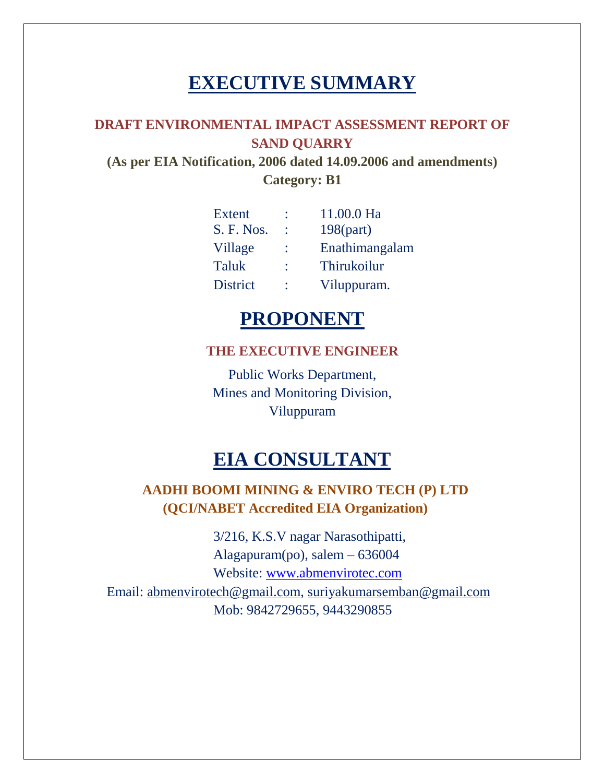# **EXECUTIVE SUMMARY**

## **DRAFT ENVIRONMENTAL IMPACT ASSESSMENT REPORT OF SAND QUARRY**

**(As per EIA Notification, 2006 dated 14.09.2006 and amendments) Category: B1**

| <b>Extent</b>   | 11.00.0 Ha         |
|-----------------|--------------------|
| S. F. Nos.      | $198$ (part)       |
| Village         | Enathimangalam     |
| <b>Taluk</b>    | <b>Thirukoilur</b> |
| <b>District</b> | Viluppuram.        |

## **PROPONENT**

## **THE EXECUTIVE ENGINEER**

Public Works Department, Mines and Monitoring Division, Viluppuram

# **EIA CONSULTANT**

## **AADHI BOOMI MINING & ENVIRO TECH (P) LTD (QCI/NABET Accredited EIA Organization)**

3/216, K.S.V nagar Narasothipatti, Alagapuram(po), salem – 636004 Website: [www.abmenvirotec.com](http://www.abmenvirotec.com/) Email: [abmenvirotech@gmail.com,](mailto:abmenvirotech@gmail.com) [suriyakumarsemban@gmail.com](mailto:suriyakumarsemban@gmail.com) Mob: 9842729655, 9443290855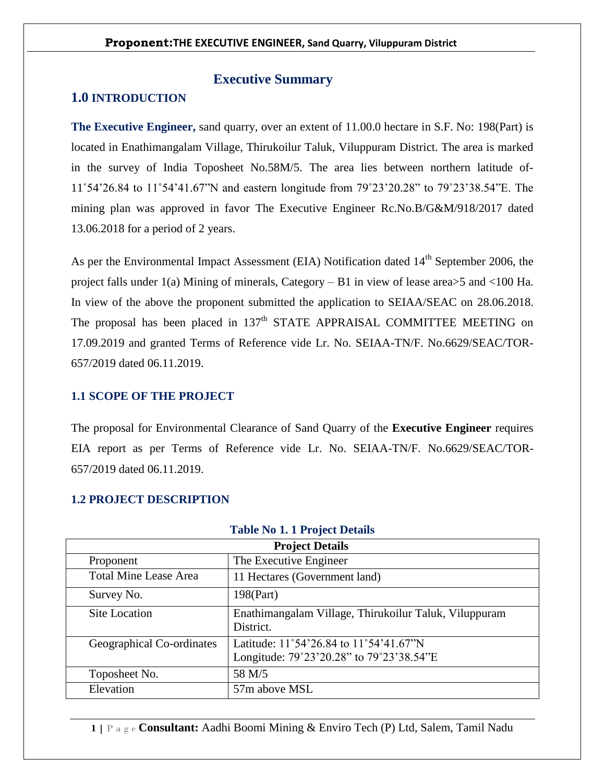## **Executive Summary**

## **1.0 INTRODUCTION**

**The Executive Engineer,** sand quarry, over an extent of 11.00.0 hectare in S.F. No: 198(Part) is located in Enathimangalam Village, Thirukoilur Taluk, Viluppuram District. The area is marked in the survey of India Toposheet No.58M/5. The area lies between northern latitude of-11˚54'26.84 to 11˚54'41.67"N and eastern longitude from 79˚23'20.28" to 79˚23'38.54"E. The mining plan was approved in favor The Executive Engineer Rc.No.B/G&M/918/2017 dated 13.06.2018 for a period of 2 years.

As per the Environmental Impact Assessment (EIA) Notification dated 14<sup>th</sup> September 2006, the project falls under 1(a) Mining of minerals, Category – B1 in view of lease area>5 and <100 Ha. In view of the above the proponent submitted the application to SEIAA/SEAC on 28.06.2018. The proposal has been placed in 137<sup>th</sup> STATE APPRAISAL COMMITTEE MEETING on 17.09.2019 and granted Terms of Reference vide Lr. No. SEIAA-TN/F. No.6629/SEAC/TOR-657/2019 dated 06.11.2019.

#### **1.1 SCOPE OF THE PROJECT**

The proposal for Environmental Clearance of Sand Quarry of the **Executive Engineer** requires EIA report as per Terms of Reference vide Lr. No. SEIAA-TN/F. No.6629/SEAC/TOR-657/2019 dated 06.11.2019.

| <b>Project Details</b>       |                                                                                                       |  |  |
|------------------------------|-------------------------------------------------------------------------------------------------------|--|--|
| Proponent                    | The Executive Engineer                                                                                |  |  |
| <b>Total Mine Lease Area</b> | 11 Hectares (Government land)                                                                         |  |  |
| Survey No.                   | 198(Part)                                                                                             |  |  |
| <b>Site Location</b>         | Enathimangalam Village, Thirukoilur Taluk, Viluppuram<br>District.                                    |  |  |
| Geographical Co-ordinates    | Latitude: $11^{\circ}54'26.84$ to $11^{\circ}54'41.67''N$<br>Longitude: 79°23'20.28" to 79°23'38.54"E |  |  |
| Toposheet No.                | 58 M/5                                                                                                |  |  |
| Elevation                    | 57m above MSL                                                                                         |  |  |

#### **1.2 PROJECT DESCRIPTION**

#### **Table No 1. 1 Project Details**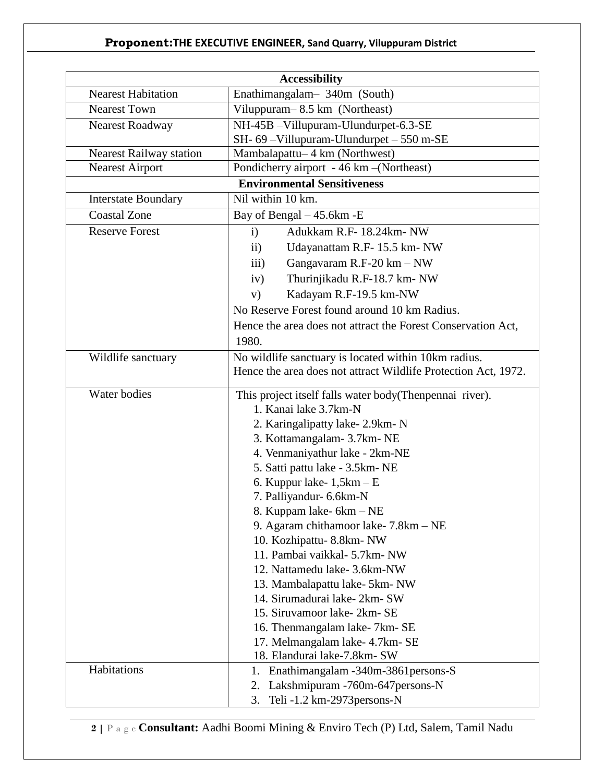|                                | <b>Accessibility</b>                                                                                                                                                                                                                                                                                                                                                                                                                                                                                                                                                                                                  |  |  |  |
|--------------------------------|-----------------------------------------------------------------------------------------------------------------------------------------------------------------------------------------------------------------------------------------------------------------------------------------------------------------------------------------------------------------------------------------------------------------------------------------------------------------------------------------------------------------------------------------------------------------------------------------------------------------------|--|--|--|
| <b>Nearest Habitation</b>      | Enathimangalam- 340m (South)                                                                                                                                                                                                                                                                                                                                                                                                                                                                                                                                                                                          |  |  |  |
| <b>Nearest Town</b>            | Viluppuram-8.5 km (Northeast)                                                                                                                                                                                                                                                                                                                                                                                                                                                                                                                                                                                         |  |  |  |
| Nearest Roadway                | NH-45B -Villupuram-Ulundurpet-6.3-SE                                                                                                                                                                                                                                                                                                                                                                                                                                                                                                                                                                                  |  |  |  |
|                                | SH- 69-Villupuram-Ulundurpet - 550 m-SE                                                                                                                                                                                                                                                                                                                                                                                                                                                                                                                                                                               |  |  |  |
| <b>Nearest Railway station</b> | Mambalapattu-4 km (Northwest)                                                                                                                                                                                                                                                                                                                                                                                                                                                                                                                                                                                         |  |  |  |
| <b>Nearest Airport</b>         | Pondicherry airport - 46 km - (Northeast)                                                                                                                                                                                                                                                                                                                                                                                                                                                                                                                                                                             |  |  |  |
|                                | <b>Environmental Sensitiveness</b>                                                                                                                                                                                                                                                                                                                                                                                                                                                                                                                                                                                    |  |  |  |
| <b>Interstate Boundary</b>     | Nil within 10 km.                                                                                                                                                                                                                                                                                                                                                                                                                                                                                                                                                                                                     |  |  |  |
| <b>Coastal Zone</b>            | Bay of Bengal - 45.6km - E                                                                                                                                                                                                                                                                                                                                                                                                                                                                                                                                                                                            |  |  |  |
| <b>Reserve Forest</b>          | Adukkam R.F- 18.24km- NW<br>$\mathbf{i}$                                                                                                                                                                                                                                                                                                                                                                                                                                                                                                                                                                              |  |  |  |
|                                | Udayanattam R.F- 15.5 km- NW<br>$\mathbf{ii}$                                                                                                                                                                                                                                                                                                                                                                                                                                                                                                                                                                         |  |  |  |
|                                | Gangavaram R.F-20 km - NW<br>$\overline{iii}$                                                                                                                                                                                                                                                                                                                                                                                                                                                                                                                                                                         |  |  |  |
|                                | Thurinjikadu R.F-18.7 km- NW<br>iv)                                                                                                                                                                                                                                                                                                                                                                                                                                                                                                                                                                                   |  |  |  |
|                                | Kadayam R.F-19.5 km-NW<br>V)                                                                                                                                                                                                                                                                                                                                                                                                                                                                                                                                                                                          |  |  |  |
|                                | No Reserve Forest found around 10 km Radius.                                                                                                                                                                                                                                                                                                                                                                                                                                                                                                                                                                          |  |  |  |
|                                | Hence the area does not attract the Forest Conservation Act,                                                                                                                                                                                                                                                                                                                                                                                                                                                                                                                                                          |  |  |  |
|                                | 1980.                                                                                                                                                                                                                                                                                                                                                                                                                                                                                                                                                                                                                 |  |  |  |
| Wildlife sanctuary             | No wildlife sanctuary is located within 10km radius.                                                                                                                                                                                                                                                                                                                                                                                                                                                                                                                                                                  |  |  |  |
|                                | Hence the area does not attract Wildlife Protection Act, 1972.                                                                                                                                                                                                                                                                                                                                                                                                                                                                                                                                                        |  |  |  |
| Water bodies                   | This project itself falls water body (Thenpennai river).<br>1. Kanai lake 3.7km-N<br>2. Karingalipatty lake-2.9km-N<br>3. Kottamangalam- 3.7km- NE<br>4. Venmaniyathur lake - 2km-NE<br>5. Satti pattu lake - 3.5km- NE<br>6. Kuppur lake- $1,5km - E$<br>7. Palliyandur- 6.6km-N<br>8. Kuppam lake- 6km – NE<br>9. Agaram chithamoor lake-7.8km – NE<br>10. Kozhipattu-8.8km-NW<br>11. Pambai vaikkal- 5.7km- NW<br>12. Nattamedu lake- 3.6km-NW<br>13. Mambalapattu lake- 5km- NW<br>14. Sirumadurai lake-2km-SW<br>15. Siruvamoor lake-2km-SE<br>16. Thenmangalam lake- 7km- SE<br>17. Melmangalam lake- 4.7km- SE |  |  |  |
| Habitations                    | 18. Elandurai lake-7.8km- SW<br>Enathimangalam - 340m - 3861 persons - S<br>1.<br>Lakshmipuram -760m-647 persons-N<br>2.<br>Teli -1.2 km-2973 persons-N<br>3.                                                                                                                                                                                                                                                                                                                                                                                                                                                         |  |  |  |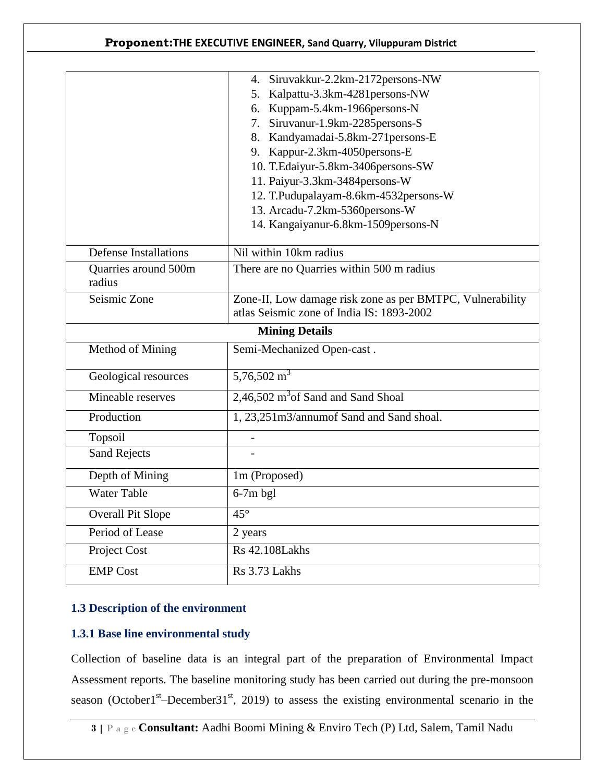|                                           | 4. Siruvakkur-2.2km-2172persons-NW                        |  |  |  |
|-------------------------------------------|-----------------------------------------------------------|--|--|--|
|                                           | 5. Kalpattu-3.3km-4281 persons-NW                         |  |  |  |
|                                           | 6. Kuppam-5.4km-1966persons-N                             |  |  |  |
|                                           | 7. Siruvanur-1.9km-2285persons-S                          |  |  |  |
|                                           | 8. Kandyamadai-5.8km-271 persons-E                        |  |  |  |
|                                           | 9. Kappur-2.3km-4050persons-E                             |  |  |  |
|                                           | 10. T.Edaiyur-5.8km-3406persons-SW                        |  |  |  |
|                                           | 11. Paiyur-3.3km-3484persons-W                            |  |  |  |
|                                           | 12. T.Pudupalayam-8.6km-4532persons-W                     |  |  |  |
|                                           | 13. Arcadu-7.2km-5360persons-W                            |  |  |  |
|                                           | 14. Kangaiyanur-6.8km-1509persons-N                       |  |  |  |
| <b>Defense Installations</b>              | Nil within 10km radius                                    |  |  |  |
| Quarries around 500m                      | There are no Quarries within 500 m radius                 |  |  |  |
| radius                                    |                                                           |  |  |  |
| Seismic Zone                              | Zone-II, Low damage risk zone as per BMTPC, Vulnerability |  |  |  |
| atlas Seismic zone of India IS: 1893-2002 |                                                           |  |  |  |
| <b>Mining Details</b>                     |                                                           |  |  |  |
| Method of Mining                          | Semi-Mechanized Open-cast.                                |  |  |  |
|                                           | $5,76,502 \text{ m}^3$                                    |  |  |  |
| Geological resources                      |                                                           |  |  |  |
| Mineable reserves                         | 2,46,502 m <sup>3</sup> of Sand and Sand Shoal            |  |  |  |
| Production                                | 1, 23,251m3/annumof Sand and Sand shoal.                  |  |  |  |
| Topsoil                                   |                                                           |  |  |  |
| <b>Sand Rejects</b>                       |                                                           |  |  |  |
| Depth of Mining                           | 1m (Proposed)                                             |  |  |  |
| <b>Water Table</b>                        | $6-7m$ bgl                                                |  |  |  |
| <b>Overall Pit Slope</b>                  | $45^\circ$                                                |  |  |  |
| Period of Lease                           | 2 years                                                   |  |  |  |
| Project Cost                              | <b>Rs</b> 42.108Lakhs                                     |  |  |  |

## **1.3 Description of the environment**

## **1.3.1 Base line environmental study**

Collection of baseline data is an integral part of the preparation of Environmental Impact Assessment reports. The baseline monitoring study has been carried out during the pre-monsoon season (October1<sup>st</sup>–December31<sup>st</sup>, 2019) to assess the existing environmental scenario in the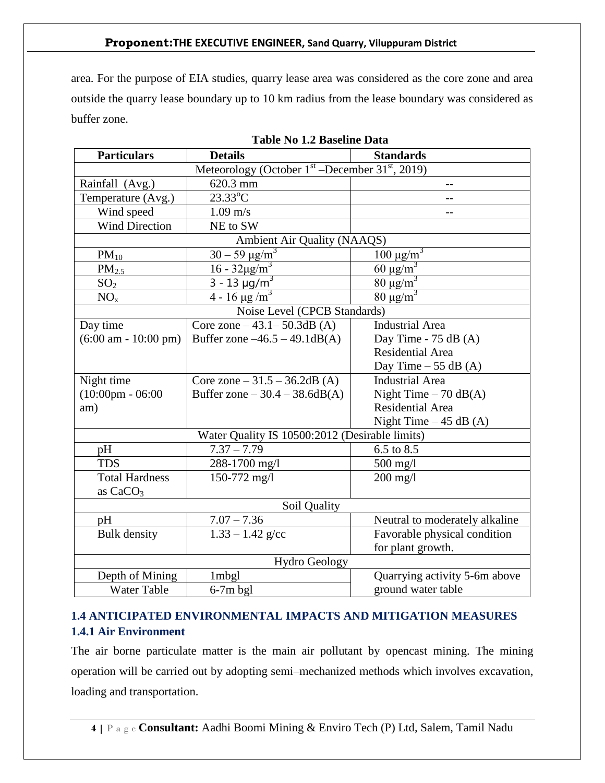area. For the purpose of EIA studies, quarry lease area was considered as the core zone and area outside the quarry lease boundary up to 10 km radius from the lease boundary was considered as buffer zone.

| <b>Particulars</b><br><b>Details</b>                 |                                                | <b>Standards</b>               |  |  |
|------------------------------------------------------|------------------------------------------------|--------------------------------|--|--|
| Meteorology (October $1st$ –December 31 $st$ , 2019) |                                                |                                |  |  |
| Rainfall (Avg.)                                      | 620.3 mm                                       | $-$                            |  |  |
| Temperature (Avg.)                                   | $23.33^{\circ}$ C                              |                                |  |  |
| Wind speed                                           | $1.09 \text{ m/s}$                             | $-$                            |  |  |
| <b>Wind Direction</b>                                | NE to SW                                       |                                |  |  |
|                                                      | Ambient Air Quality (NAAQS)                    |                                |  |  |
| $PM_{10}$                                            | $30 - 59 \,\mu g/m^3$                          | $100 \mu g/m^3$                |  |  |
| PM <sub>2.5</sub>                                    | $16 - 32 \mu g/m^3$                            | $60 \mu g/m^3$                 |  |  |
| SO <sub>2</sub>                                      | $3 - 13 \mu g/m^3$                             | $80 \mu g/m^3$                 |  |  |
| NO <sub>x</sub>                                      | $4 - 16 \mu g/m^3$                             | $80 \mu g/m^3$                 |  |  |
|                                                      | Noise Level (CPCB Standards)                   |                                |  |  |
| Day time                                             | Core zone $-43.1 - 50.3$ dB (A)                | <b>Industrial Area</b>         |  |  |
| $(6:00 \text{ am} - 10:00 \text{ pm})$               | Buffer zone $-46.5 - 49.1$ dB(A)               | Day Time - $75$ dB (A)         |  |  |
|                                                      |                                                | <b>Residential Area</b>        |  |  |
|                                                      |                                                | Day Time $-55$ dB (A)          |  |  |
| Night time                                           | Core zone $-31.5 - 36.2$ dB (A)                | <b>Industrial Area</b>         |  |  |
| $(10:00 \text{pm} - 06:00$                           | Buffer zone $-30.4 - 38.6$ dB(A)               | Night Time $-70$ dB(A)         |  |  |
| am)                                                  |                                                | <b>Residential Area</b>        |  |  |
|                                                      |                                                | Night Time $-45$ dB (A)        |  |  |
|                                                      | Water Quality IS 10500:2012 (Desirable limits) |                                |  |  |
| pH                                                   | $7.37 - 7.79$                                  | 6.5 to 8.5                     |  |  |
| <b>TDS</b>                                           | 288-1700 mg/l                                  | $500$ mg/l                     |  |  |
| <b>Total Hardness</b>                                | 150-772 mg/l                                   | $200$ mg/l                     |  |  |
| as $CaCO3$                                           |                                                |                                |  |  |
|                                                      | Soil Quality                                   |                                |  |  |
| pH                                                   | $7.07 - 7.36$                                  | Neutral to moderately alkaline |  |  |
| <b>Bulk</b> density                                  | $1.33 - 1.42$ g/cc                             | Favorable physical condition   |  |  |
|                                                      |                                                | for plant growth.              |  |  |
|                                                      | <b>Hydro Geology</b>                           |                                |  |  |
| Depth of Mining                                      | 1mbgl                                          | Quarrying activity 5-6m above  |  |  |
| <b>Water Table</b>                                   | $6-7m$ bgl                                     | ground water table             |  |  |

**Table No 1.2 Baseline Data**

## **1.4 ANTICIPATED ENVIRONMENTAL IMPACTS AND MITIGATION MEASURES 1.4.1 Air Environment**

The air borne particulate matter is the main air pollutant by opencast mining. The mining operation will be carried out by adopting semi–mechanized methods which involves excavation, loading and transportation.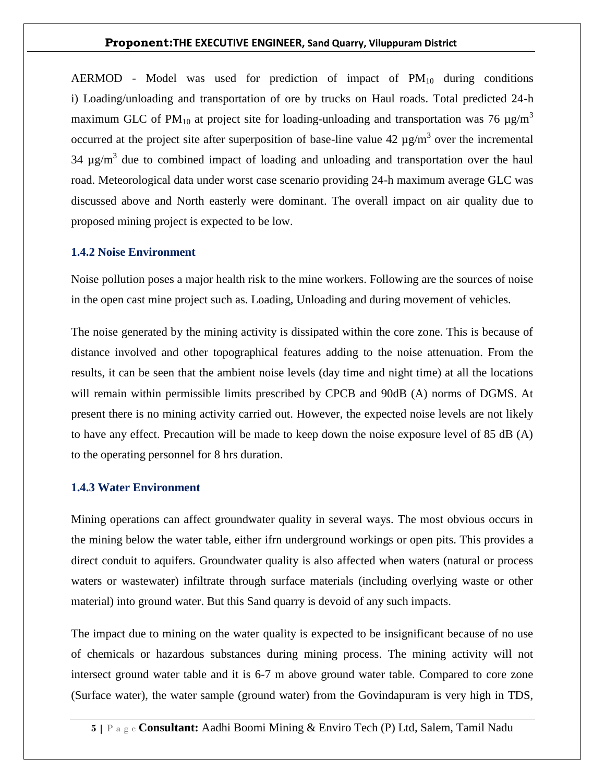AERMOD - Model was used for prediction of impact of  $PM_{10}$  during conditions i) Loading/unloading and transportation of ore by trucks on Haul roads. Total predicted 24-h maximum GLC of PM<sub>10</sub> at project site for loading-unloading and transportation was 76  $\mu$ g/m<sup>3</sup> occurred at the project site after superposition of base-line value 42  $\mu$ g/m<sup>3</sup> over the incremental 34  $\mu$ g/m<sup>3</sup> due to combined impact of loading and unloading and transportation over the haul road. Meteorological data under worst case scenario providing 24-h maximum average GLC was discussed above and North easterly were dominant. The overall impact on air quality due to proposed mining project is expected to be low.

#### **1.4.2 Noise Environment**

Noise pollution poses a major health risk to the mine workers. Following are the sources of noise in the open cast mine project such as. Loading, Unloading and during movement of vehicles.

The noise generated by the mining activity is dissipated within the core zone. This is because of distance involved and other topographical features adding to the noise attenuation. From the results, it can be seen that the ambient noise levels (day time and night time) at all the locations will remain within permissible limits prescribed by CPCB and 90dB (A) norms of DGMS. At present there is no mining activity carried out. However, the expected noise levels are not likely to have any effect. Precaution will be made to keep down the noise exposure level of 85 dB (A) to the operating personnel for 8 hrs duration.

#### **1.4.3 Water Environment**

Mining operations can affect groundwater quality in several ways. The most obvious occurs in the mining below the water table, either ifrn underground workings or open pits. This provides a direct conduit to aquifers. Groundwater quality is also affected when waters (natural or process waters or wastewater) infiltrate through surface materials (including overlying waste or other material) into ground water. But this Sand quarry is devoid of any such impacts.

The impact due to mining on the water quality is expected to be insignificant because of no use of chemicals or hazardous substances during mining process. The mining activity will not intersect ground water table and it is 6-7 m above ground water table. Compared to core zone (Surface water), the water sample (ground water) from the Govindapuram is very high in TDS,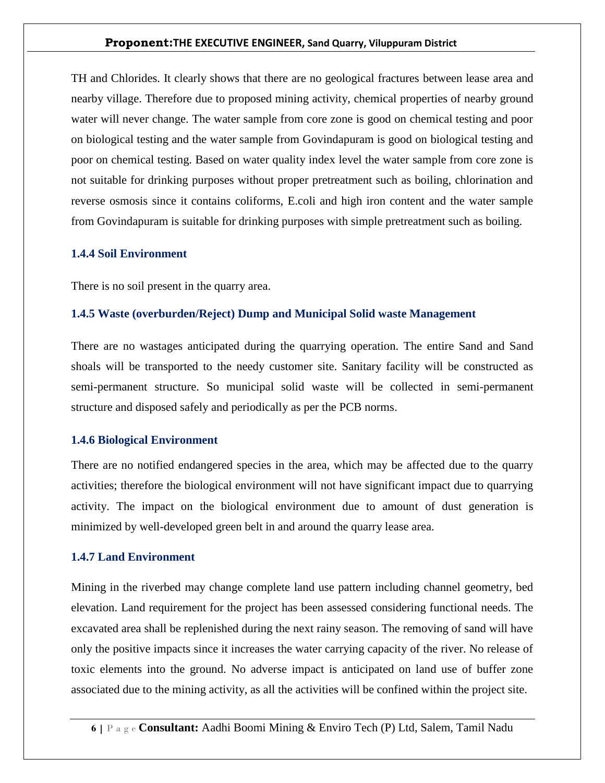TH and Chlorides. It clearly shows that there are no geological fractures between lease area and nearby village. Therefore due to proposed mining activity, chemical properties of nearby ground water will never change. The water sample from core zone is good on chemical testing and poor on biological testing and the water sample from Govindapuram is good on biological testing and poor on chemical testing. Based on water quality index level the water sample from core zone is not suitable for drinking purposes without proper pretreatment such as boiling, chlorination and reverse osmosis since it contains coliforms, E.coli and high iron content and the water sample from Govindapuram is suitable for drinking purposes with simple pretreatment such as boiling.

#### **1.4.4 Soil Environment**

There is no soil present in the quarry area.

#### **1.4.5 Waste (overburden/Reject) Dump and Municipal Solid waste Management**

There are no wastages anticipated during the quarrying operation. The entire Sand and Sand shoals will be transported to the needy customer site. Sanitary facility will be constructed as semi-permanent structure. So municipal solid waste will be collected in semi-permanent structure and disposed safely and periodically as per the PCB norms.

#### **1.4.6 Biological Environment**

There are no notified endangered species in the area, which may be affected due to the quarry activities; therefore the biological environment will not have significant impact due to quarrying activity. The impact on the biological environment due to amount of dust generation is minimized by well-developed green belt in and around the quarry lease area.

#### **1.4.7 Land Environment**

Mining in the riverbed may change complete land use pattern including channel geometry, bed elevation. Land requirement for the project has been assessed considering functional needs. The excavated area shall be replenished during the next rainy season. The removing of sand will have only the positive impacts since it increases the water carrying capacity of the river. No release of toxic elements into the ground. No adverse impact is anticipated on land use of buffer zone associated due to the mining activity, as all the activities will be confined within the project site.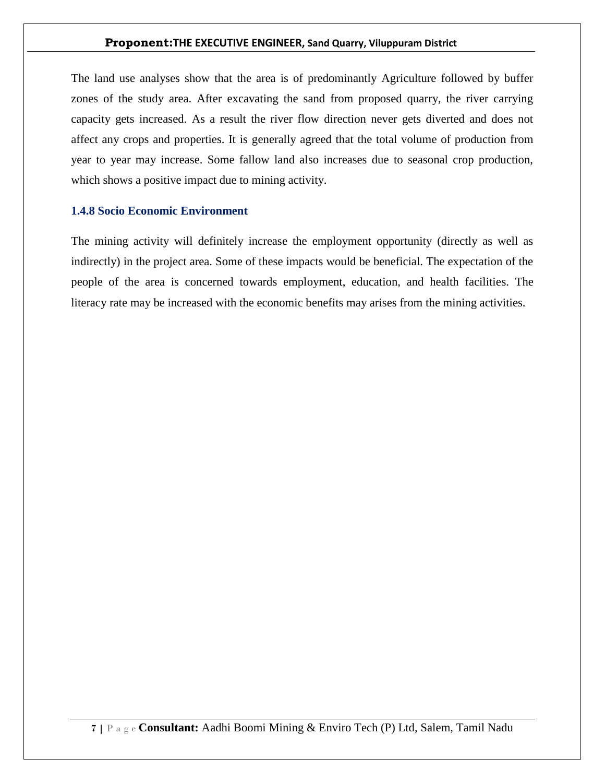The land use analyses show that the area is of predominantly Agriculture followed by buffer zones of the study area. After excavating the sand from proposed quarry, the river carrying capacity gets increased. As a result the river flow direction never gets diverted and does not affect any crops and properties. It is generally agreed that the total volume of production from year to year may increase. Some fallow land also increases due to seasonal crop production, which shows a positive impact due to mining activity.

#### **1.4.8 Socio Economic Environment**

The mining activity will definitely increase the employment opportunity (directly as well as indirectly) in the project area. Some of these impacts would be beneficial. The expectation of the people of the area is concerned towards employment, education, and health facilities. The literacy rate may be increased with the economic benefits may arises from the mining activities.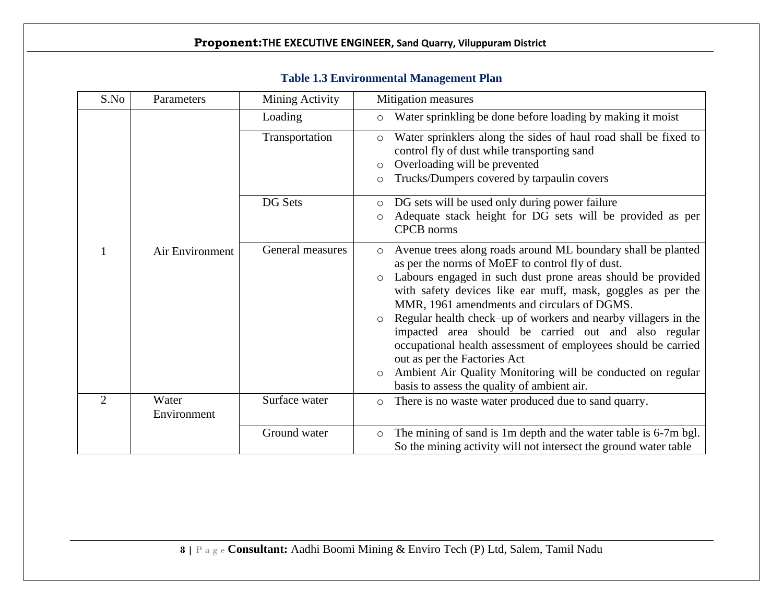| S.No | Parameters           | Mining Activity  | Mitigation measures                                                                                                                                                                                                                                                                                                                                                                                                                                                                                                                                                                                                                                                                |  |  |
|------|----------------------|------------------|------------------------------------------------------------------------------------------------------------------------------------------------------------------------------------------------------------------------------------------------------------------------------------------------------------------------------------------------------------------------------------------------------------------------------------------------------------------------------------------------------------------------------------------------------------------------------------------------------------------------------------------------------------------------------------|--|--|
|      |                      | Loading          | Water sprinkling be done before loading by making it moist<br>$\circ$                                                                                                                                                                                                                                                                                                                                                                                                                                                                                                                                                                                                              |  |  |
|      |                      | Transportation   | Water sprinklers along the sides of haul road shall be fixed to<br>$\circ$<br>control fly of dust while transporting sand<br>Overloading will be prevented<br>$\circ$<br>Trucks/Dumpers covered by tarpaulin covers<br>$\circ$                                                                                                                                                                                                                                                                                                                                                                                                                                                     |  |  |
|      |                      | DG Sets          | DG sets will be used only during power failure<br>$\circ$<br>Adequate stack height for DG sets will be provided as per<br>$\circ$<br><b>CPCB</b> norms                                                                                                                                                                                                                                                                                                                                                                                                                                                                                                                             |  |  |
|      | Air Environment      | General measures | Avenue trees along roads around ML boundary shall be planted<br>$\circ$<br>as per the norms of MoEF to control fly of dust.<br>Labours engaged in such dust prone areas should be provided<br>$\circ$<br>with safety devices like ear muff, mask, goggles as per the<br>MMR, 1961 amendments and circulars of DGMS.<br>Regular health check-up of workers and nearby villagers in the<br>$\circ$<br>impacted area should be carried out and also regular<br>occupational health assessment of employees should be carried<br>out as per the Factories Act<br>Ambient Air Quality Monitoring will be conducted on regular<br>$\circ$<br>basis to assess the quality of ambient air. |  |  |
| 2    | Water<br>Environment | Surface water    | There is no waste water produced due to sand quarry.<br>$\circ$                                                                                                                                                                                                                                                                                                                                                                                                                                                                                                                                                                                                                    |  |  |
|      |                      | Ground water     | The mining of sand is 1m depth and the water table is 6-7m bgl.<br>$\circ$<br>So the mining activity will not intersect the ground water table                                                                                                                                                                                                                                                                                                                                                                                                                                                                                                                                     |  |  |

## **Table 1.3 Environmental Management Plan**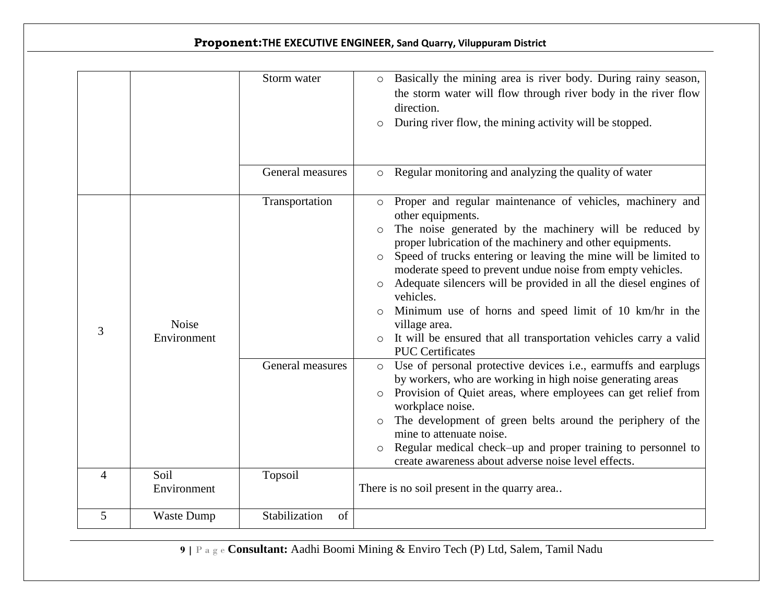|   |                             | Storm water                        | o Basically the mining area is river body. During rainy season,<br>the storm water will flow through river body in the river flow<br>direction.<br>During river flow, the mining activity will be stopped.<br>$\circ$                                                                                                                                                                                                                                                                                                                                                                                                                                                                                                                                                                                                                                                                                                                                                                                                                                              |
|---|-----------------------------|------------------------------------|--------------------------------------------------------------------------------------------------------------------------------------------------------------------------------------------------------------------------------------------------------------------------------------------------------------------------------------------------------------------------------------------------------------------------------------------------------------------------------------------------------------------------------------------------------------------------------------------------------------------------------------------------------------------------------------------------------------------------------------------------------------------------------------------------------------------------------------------------------------------------------------------------------------------------------------------------------------------------------------------------------------------------------------------------------------------|
|   |                             | General measures                   | Regular monitoring and analyzing the quality of water<br>$\circ$                                                                                                                                                                                                                                                                                                                                                                                                                                                                                                                                                                                                                                                                                                                                                                                                                                                                                                                                                                                                   |
| 3 | <b>Noise</b><br>Environment | Transportation<br>General measures | Proper and regular maintenance of vehicles, machinery and<br>$\circ$<br>other equipments.<br>The noise generated by the machinery will be reduced by<br>$\circ$<br>proper lubrication of the machinery and other equipments.<br>Speed of trucks entering or leaving the mine will be limited to<br>$\circ$<br>moderate speed to prevent undue noise from empty vehicles.<br>Adequate silencers will be provided in all the diesel engines of<br>vehicles.<br>Minimum use of horns and speed limit of 10 km/hr in the<br>O<br>village area.<br>It will be ensured that all transportation vehicles carry a valid<br><b>PUC</b> Certificates<br>Use of personal protective devices <i>i.e.</i> , earmuffs and earplugs<br>$\circ$<br>by workers, who are working in high noise generating areas<br>Provision of Quiet areas, where employees can get relief from<br>$\circ$<br>workplace noise.<br>The development of green belts around the periphery of the<br>$\circ$<br>mine to attenuate noise.<br>Regular medical check–up and proper training to personnel to |
| 4 | Soil                        | Topsoil                            | create awareness about adverse noise level effects.                                                                                                                                                                                                                                                                                                                                                                                                                                                                                                                                                                                                                                                                                                                                                                                                                                                                                                                                                                                                                |
|   | Environment                 |                                    | There is no soil present in the quarry area                                                                                                                                                                                                                                                                                                                                                                                                                                                                                                                                                                                                                                                                                                                                                                                                                                                                                                                                                                                                                        |
| 5 | <b>Waste Dump</b>           | Stabilization<br>of                |                                                                                                                                                                                                                                                                                                                                                                                                                                                                                                                                                                                                                                                                                                                                                                                                                                                                                                                                                                                                                                                                    |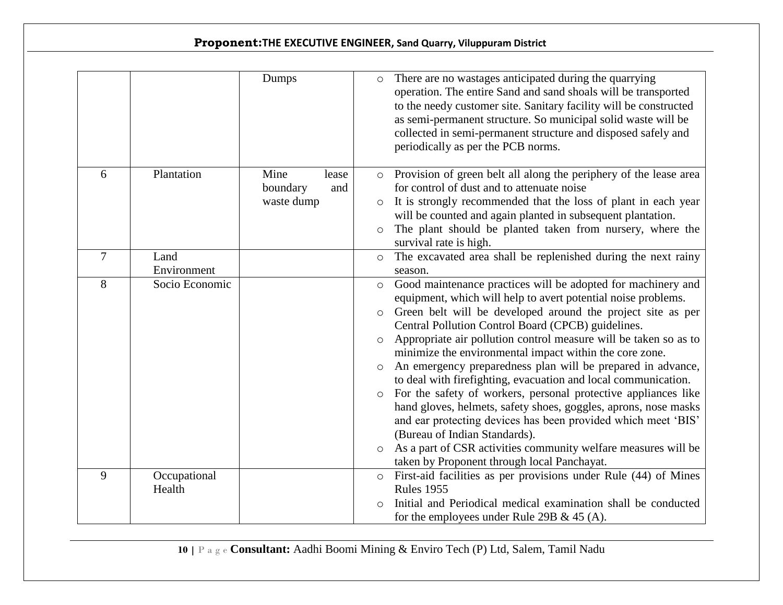|                |                        | Dumps                                          | $\circ$                                                        | There are no wastages anticipated during the quarrying<br>operation. The entire Sand and sand shoals will be transported<br>to the needy customer site. Sanitary facility will be constructed<br>as semi-permanent structure. So municipal solid waste will be<br>collected in semi-permanent structure and disposed safely and<br>periodically as per the PCB norms.                                                                                                                                                                                                                                                                                                                                                                                                                                                                                                      |
|----------------|------------------------|------------------------------------------------|----------------------------------------------------------------|----------------------------------------------------------------------------------------------------------------------------------------------------------------------------------------------------------------------------------------------------------------------------------------------------------------------------------------------------------------------------------------------------------------------------------------------------------------------------------------------------------------------------------------------------------------------------------------------------------------------------------------------------------------------------------------------------------------------------------------------------------------------------------------------------------------------------------------------------------------------------|
| 6              | Plantation             | Mine<br>lease<br>boundary<br>and<br>waste dump | $\circ$<br>$\circ$                                             | Provision of green belt all along the periphery of the lease area<br>for control of dust and to attenuate noise<br>It is strongly recommended that the loss of plant in each year<br>will be counted and again planted in subsequent plantation.<br>The plant should be planted taken from nursery, where the<br>survival rate is high.                                                                                                                                                                                                                                                                                                                                                                                                                                                                                                                                    |
| $\overline{7}$ | Land<br>Environment    |                                                | $\circ$                                                        | The excavated area shall be replenished during the next rainy<br>season.                                                                                                                                                                                                                                                                                                                                                                                                                                                                                                                                                                                                                                                                                                                                                                                                   |
| 8              | Socio Economic         |                                                | $\circ$<br>$\circ$<br>$\circ$<br>$\circ$<br>$\circ$<br>$\circ$ | Good maintenance practices will be adopted for machinery and<br>equipment, which will help to avert potential noise problems.<br>Green belt will be developed around the project site as per<br>Central Pollution Control Board (CPCB) guidelines.<br>Appropriate air pollution control measure will be taken so as to<br>minimize the environmental impact within the core zone.<br>An emergency preparedness plan will be prepared in advance,<br>to deal with firefighting, evacuation and local communication.<br>For the safety of workers, personal protective appliances like<br>hand gloves, helmets, safety shoes, goggles, aprons, nose masks<br>and ear protecting devices has been provided which meet 'BIS'<br>(Bureau of Indian Standards).<br>As a part of CSR activities community welfare measures will be<br>taken by Proponent through local Panchayat. |
| 9              | Occupational<br>Health |                                                | $\circ$                                                        | First-aid facilities as per provisions under Rule (44) of Mines<br><b>Rules 1955</b><br>Initial and Periodical medical examination shall be conducted<br>for the employees under Rule 29B $\&$ 45 (A).                                                                                                                                                                                                                                                                                                                                                                                                                                                                                                                                                                                                                                                                     |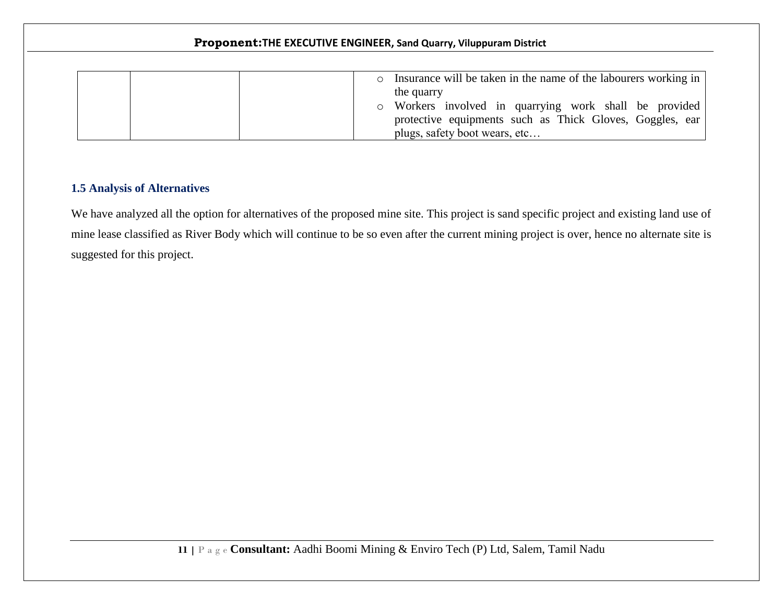|  | Insurance will be taken in the name of the labourers working in<br>$\circ$ |  |
|--|----------------------------------------------------------------------------|--|
|  | the quarry                                                                 |  |
|  | o Workers involved in quarrying work shall be provided                     |  |
|  | protective equipments such as Thick Gloves, Goggles, ear                   |  |
|  | plugs, safety boot wears, etc                                              |  |

## **1.5 Analysis of Alternatives**

We have analyzed all the option for alternatives of the proposed mine site. This project is sand specific project and existing land use of mine lease classified as River Body which will continue to be so even after the current mining project is over, hence no alternate site is suggested for this project.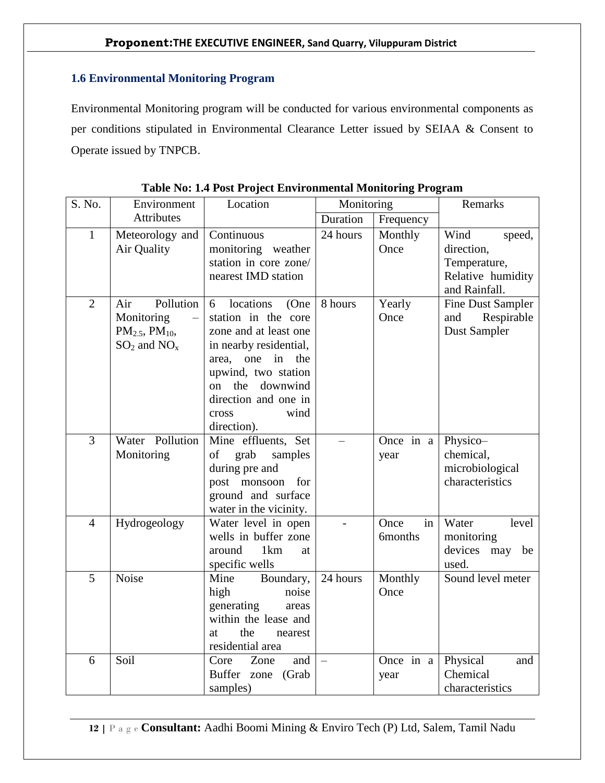## **1.6 Environmental Monitoring Program**

Environmental Monitoring program will be conducted for various environmental components as per conditions stipulated in Environmental Clearance Letter issued by SEIAA & Consent to Operate issued by TNPCB.

| S. No.         | Environment                                                                     | Location                                                                                                                                                                                                                  | Monitoring               |                              | Remarks                                                                            |
|----------------|---------------------------------------------------------------------------------|---------------------------------------------------------------------------------------------------------------------------------------------------------------------------------------------------------------------------|--------------------------|------------------------------|------------------------------------------------------------------------------------|
|                | <b>Attributes</b>                                                               |                                                                                                                                                                                                                           | Duration                 | Frequency                    |                                                                                    |
| $\mathbf{1}$   | Meteorology and<br>Air Quality                                                  | Continuous<br>monitoring weather<br>station in core zone/<br>nearest IMD station                                                                                                                                          | 24 hours                 | Monthly<br>Once              | Wind<br>speed,<br>direction,<br>Temperature,<br>Relative humidity<br>and Rainfall. |
| $\overline{2}$ | Pollution<br>Air<br>Monitoring<br>$PM_{2.5}$ , $PM_{10}$ ,<br>$SO_2$ and $NO_x$ | locations<br>6<br>(One<br>station in the core<br>zone and at least one<br>in nearby residential,<br>area, one in<br>the<br>upwind, two station<br>on the downwind<br>direction and one in<br>wind<br>cross<br>direction). | 8 hours                  | Yearly<br>Once               | Fine Dust Sampler<br>and Respirable<br>Dust Sampler                                |
| 3              | Water Pollution<br>Monitoring                                                   | Mine effluents, Set<br>grab<br>of<br>samples<br>during pre and<br>post monsoon<br>for<br>ground and surface<br>water in the vicinity.                                                                                     |                          | Once in a<br>year            | Physico-<br>chemical,<br>microbiological<br>characteristics                        |
| $\overline{4}$ | Hydrogeology                                                                    | Water level in open<br>wells in buffer zone<br>around<br>1 <sub>km</sub><br>at<br>specific wells                                                                                                                          |                          | Once<br>in<br><b>6months</b> | Water<br>level<br>monitoring<br>devices may be<br>used.                            |
| 5              | <b>Noise</b>                                                                    | Mine Boundary,<br>high<br>noise<br>generating<br>areas<br>within the lease and<br>the<br>at<br>nearest<br>residential area                                                                                                | 24 hours                 | Monthly<br>Once              | Sound level meter                                                                  |
| 6              | Soil                                                                            | Core<br>Zone<br>and<br>Buffer zone<br>(Grab<br>samples)                                                                                                                                                                   | $\overline{\phantom{0}}$ | Once in a<br>year            | Physical<br>and<br>Chemical<br>characteristics                                     |

|  |  | Table No: 1.4 Post Project Environmental Monitoring Program |
|--|--|-------------------------------------------------------------|
|  |  |                                                             |
|  |  |                                                             |